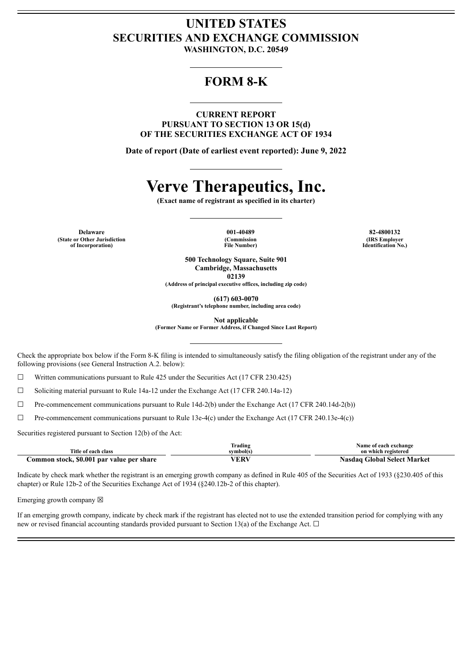## **UNITED STATES SECURITIES AND EXCHANGE COMMISSION**

**WASHINGTON, D.C. 20549**

## **FORM 8-K**

**CURRENT REPORT PURSUANT TO SECTION 13 OR 15(d) OF THE SECURITIES EXCHANGE ACT OF 1934**

**Date of report (Date of earliest event reported): June 9, 2022**

# **Verve Therapeutics, Inc.**

**(Exact name of registrant as specified in its charter)**

**Delaware 001-40489 82-4800132 (State or Other Jurisdiction of Incorporation)**

**(Commission File Number)**

**(IRS Employer Identification No.)**

**500 Technology Square, Suite 901 Cambridge, Massachusetts 02139**

**(Address of principal executive offices, including zip code)**

**(617) 603-0070**

**(Registrant's telephone number, including area code)**

**Not applicable**

**(Former Name or Former Address, if Changed Since Last Report)**

Check the appropriate box below if the Form 8-K filing is intended to simultaneously satisfy the filing obligation of the registrant under any of the following provisions (see General Instruction A.2. below):

☐ Written communications pursuant to Rule 425 under the Securities Act (17 CFR 230.425)

 $\Box$  Soliciting material pursuant to Rule 14a-12 under the Exchange Act (17 CFR 240.14a-12)

 $\Box$  Pre-commencement communications pursuant to Rule 14d-2(b) under the Exchange Act (17 CFR 240.14d-2(b))

 $\Box$  Pre-commencement communications pursuant to Rule 13e-4(c) under the Exchange Act (17 CFR 240.13e-4(c))

Securities registered pursuant to Section 12(b) of the Act:

|                                           | <b>Trading</b> | Name of each exchange              |
|-------------------------------------------|----------------|------------------------------------|
| Title of each class                       | symbol(s)      | on which registered                |
| Common stock, \$0.001 par value per share | VERV           | <b>Nasdaq Global Select Market</b> |

Indicate by check mark whether the registrant is an emerging growth company as defined in Rule 405 of the Securities Act of 1933 (§230.405 of this chapter) or Rule 12b-2 of the Securities Exchange Act of 1934 (§240.12b-2 of this chapter).

Emerging growth company  $\boxtimes$ 

If an emerging growth company, indicate by check mark if the registrant has elected not to use the extended transition period for complying with any new or revised financial accounting standards provided pursuant to Section 13(a) of the Exchange Act.  $\Box$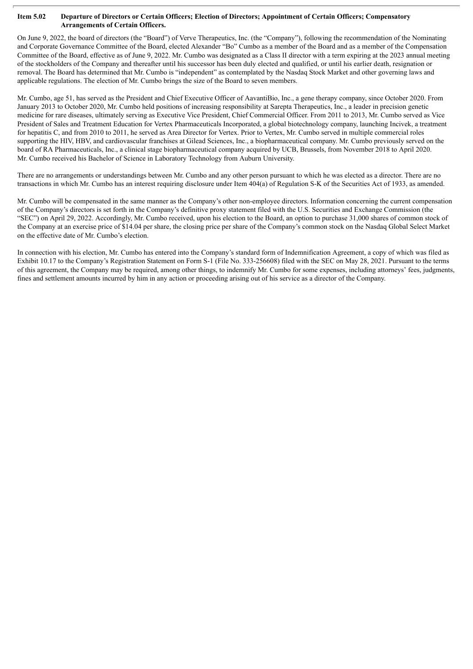#### Item 5.02 Departure of Directors or Certain Officers; Election of Directors; Appointment of Certain Officers; Compensatory **Arrangements of Certain Officers.**

On June 9, 2022, the board of directors (the "Board") of Verve Therapeutics, Inc. (the "Company"), following the recommendation of the Nominating and Corporate Governance Committee of the Board, elected Alexander "Bo" Cumbo as a member of the Board and as a member of the Compensation Committee of the Board, effective as of June 9, 2022. Mr. Cumbo was designated as a Class II director with a term expiring at the 2023 annual meeting of the stockholders of the Company and thereafter until his successor has been duly elected and qualified, or until his earlier death, resignation or removal. The Board has determined that Mr. Cumbo is "independent" as contemplated by the Nasdaq Stock Market and other governing laws and applicable regulations. The election of Mr. Cumbo brings the size of the Board to seven members.

Mr. Cumbo, age 51, has served as the President and Chief Executive Officer of AavantiBio, Inc., a gene therapy company, since October 2020. From January 2013 to October 2020, Mr. Cumbo held positions of increasing responsibility at Sarepta Therapeutics, Inc., a leader in precision genetic medicine for rare diseases, ultimately serving as Executive Vice President, Chief Commercial Officer. From 2011 to 2013, Mr. Cumbo served as Vice President of Sales and Treatment Education for Vertex Pharmaceuticals Incorporated, a global biotechnology company, launching Incivek, a treatment for hepatitis C, and from 2010 to 2011, he served as Area Director for Vertex. Prior to Vertex, Mr. Cumbo served in multiple commercial roles supporting the HIV, HBV, and cardiovascular franchises at Gilead Sciences, Inc., a biopharmaceutical company. Mr. Cumbo previously served on the board of RA Pharmaceuticals, Inc., a clinical stage biopharmaceutical company acquired by UCB, Brussels, from November 2018 to April 2020. Mr. Cumbo received his Bachelor of Science in Laboratory Technology from Auburn University.

There are no arrangements or understandings between Mr. Cumbo and any other person pursuant to which he was elected as a director. There are no transactions in which Mr. Cumbo has an interest requiring disclosure under Item 404(a) of Regulation S-K of the Securities Act of 1933, as amended.

Mr. Cumbo will be compensated in the same manner as the Company's other non-employee directors. Information concerning the current compensation of the Company's directors is set forth in the Company's definitive proxy statement filed with the U.S. Securities and Exchange Commission (the "SEC") on April 29, 2022. Accordingly, Mr. Cumbo received, upon his election to the Board, an option to purchase 31,000 shares of common stock of the Company at an exercise price of \$14.04 per share, the closing price per share of the Company's common stock on the Nasdaq Global Select Market on the effective date of Mr. Cumbo's election.

In connection with his election, Mr. Cumbo has entered into the Company's standard form of Indemnification Agreement, a copy of which was filed as Exhibit 10.17 to the Company's Registration Statement on Form S-1 (File No. 333-256608) filed with the SEC on May 28, 2021. Pursuant to the terms of this agreement, the Company may be required, among other things, to indemnify Mr. Cumbo for some expenses, including attorneys' fees, judgments, fines and settlement amounts incurred by him in any action or proceeding arising out of his service as a director of the Company.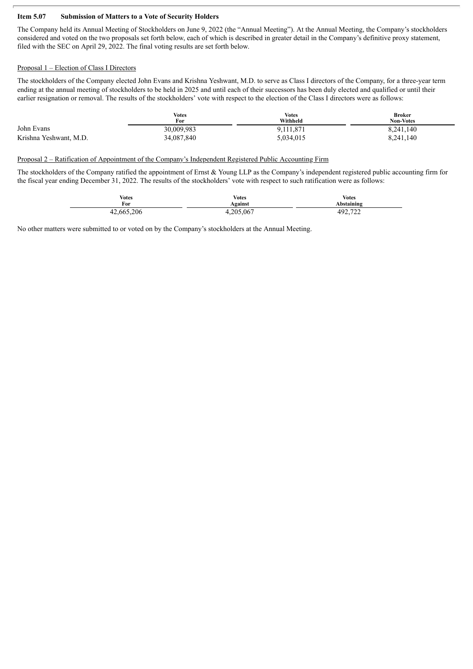#### **Item 5.07 Submission of Matters to a Vote of Security Holders**

The Company held its Annual Meeting of Stockholders on June 9, 2022 (the "Annual Meeting"). At the Annual Meeting, the Company's stockholders considered and voted on the two proposals set forth below, each of which is described in greater detail in the Company's definitive proxy statement, filed with the SEC on April 29, 2022. The final voting results are set forth below.

#### Proposal 1 – Election of Class I Directors

The stockholders of the Company elected John Evans and Krishna Yeshwant, M.D. to serve as Class I directors of the Company, for a three-year term ending at the annual meeting of stockholders to be held in 2025 and until each of their successors has been duly elected and qualified or until their earlier resignation or removal. The results of the stockholders' vote with respect to the election of the Class I directors were as follows:

|                        | <b>Votes</b><br>For | <b>Votes</b><br>Withheld | <b>Broker</b><br><b>Non-Votes</b> |
|------------------------|---------------------|--------------------------|-----------------------------------|
| John Evans             | 30,009,983          | 9,111,871                | 8,241,140                         |
| Krishna Yeshwant, M.D. | 34,087,840          | 5,034,015                | 8,241,140                         |

Proposal 2 – Ratification of Appointment of the Company's Independent Registered Public Accounting Firm

The stockholders of the Company ratified the appointment of Ernst & Young LLP as the Company's independent registered public accounting firm for the fiscal year ending December 31, 2022. The results of the stockholders' vote with respect to such ratification were as follows:

| <b>Votes</b> | <b>Votes</b> | <b>Votes</b>   |
|--------------|--------------|----------------|
| For          | Against      | Abstaining     |
| 42,665,206   | .205,067     | 492.722<br>122 |

No other matters were submitted to or voted on by the Company's stockholders at the Annual Meeting.